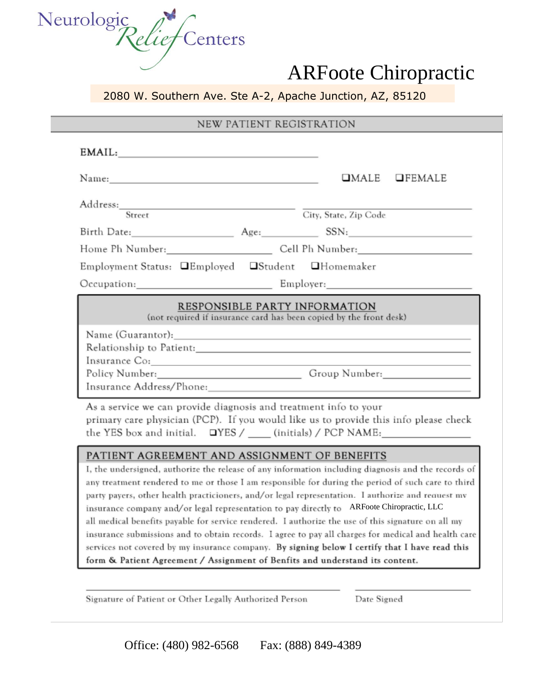

#### 2080 W. Southern Ave. Ste A-2, Apache Junction, AZ, 85120

#### NEW PATIENT REGISTRATION

| EMAIL:                                                           |                                                                                                                       |
|------------------------------------------------------------------|-----------------------------------------------------------------------------------------------------------------------|
| Name: Name:                                                      | UMALE UFEMALE                                                                                                         |
| Address: Street                                                  | City, State, Zip Code                                                                                                 |
|                                                                  | Birth Date: Age: SSN:                                                                                                 |
|                                                                  |                                                                                                                       |
| Employment Status: <b>QEmployed QStudent QHomemaker</b>          |                                                                                                                       |
|                                                                  |                                                                                                                       |
|                                                                  | RESPONSIBLE PARTY INFORMATION<br>(not required if insurance card has been copied by the front desk)                   |
|                                                                  |                                                                                                                       |
| Insurance Co:                                                    | <u> 1989 - John Barn Barn, mars and de la partie de la partie de la partie de la partie de la partie de la partie</u> |
|                                                                  | Policy Number: Croup Number: Croup Number:                                                                            |
|                                                                  |                                                                                                                       |
| As a service we can provide diagnosis and treatment info to your | primary care physician (PCP). If you would like us to provide this info please check                                  |
| PATIENT AGREEMENT AND ASSIGNMENT OF BENEFITS                     | I, the undersigned, authorize the release of any information including diagnosis and the records of                   |

any treatment rendered to me or those I am responsible for during the period of such care to third party payers, other health practicioners, and/or legal representation. I authorize and request mv insurance company and/or legal representation to pay directly to ARFoote Chiropractic, LLC all medical benefits payable for service rendered. I authorize the use of this signature on all my insurance submissions and to obtain records. I agree to pay all charges for medical and health care services not covered by my insurance company. By signing below I certify that I have read this form & Patient Agreement / Assignment of Benfits and understand its content.

Signature of Patient or Other Legally Authorized Person

Date Signed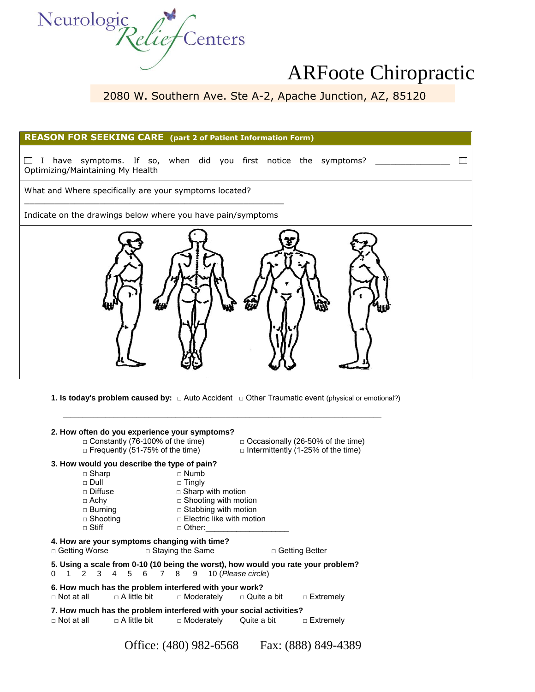

2080 W. Southern Ave. Ste A-2, Apache Junction, AZ, 85120

| <b>REASON FOR SEEKING CARE</b> (part 2 of Patient Information Form)                                     |
|---------------------------------------------------------------------------------------------------------|
| have symptoms. If so, when did you first notice the symptoms? _____<br>Optimizing/Maintaining My Health |
| What and Where specifically are your symptoms located?                                                  |
| Indicate on the drawings below where you have pain/symptoms                                             |
|                                                                                                         |

**1. Is today's problem caused by:** □ Auto Accident □ Other Traumatic event (physical or emotional?)

 **\_\_\_\_\_\_\_\_\_\_\_\_\_\_\_\_\_\_\_\_\_\_\_\_\_\_\_\_\_\_\_\_\_\_\_\_\_\_\_\_\_\_\_\_\_\_\_\_\_\_\_\_\_\_\_\_\_\_\_\_\_\_\_\_\_\_\_\_\_\_\_\_\_\_\_\_\_\_\_\_\_\_**

|                                             |                     | 2. How often do you experience your symptoms?          |                                                                     |                                                                                                       |
|---------------------------------------------|---------------------|--------------------------------------------------------|---------------------------------------------------------------------|-------------------------------------------------------------------------------------------------------|
|                                             |                     | $\Box$ Constantly (76-100% of the time)                |                                                                     | $\Box$ Occasionally (26-50% of the time)                                                              |
|                                             |                     | $\Box$ Frequently (51-75% of the time)                 |                                                                     | $\Box$ Intermittently (1-25% of the time)                                                             |
| 3. How would you describe the type of pain? |                     |                                                        |                                                                     |                                                                                                       |
| $\Box$ Sharp                                |                     | $\sqcap$ Numb                                          |                                                                     |                                                                                                       |
| $\sqcap$ Dull                               |                     | $\Box$ Tingly                                          |                                                                     |                                                                                                       |
| $\sqcap$ Diffuse                            |                     | $\Box$ Sharp with motion                               |                                                                     |                                                                                                       |
| $\Box$ Achy                                 |                     | $\Box$ Shooting with motion                            |                                                                     |                                                                                                       |
|                                             |                     | □ Burning □ Stabbing with motion                       |                                                                     |                                                                                                       |
| $\Box$ Shooting                             |                     | $\square$ Electric like with motion                    |                                                                     |                                                                                                       |
| $\Box$ Stiff                                |                     | $\Box$ Other:                                          |                                                                     |                                                                                                       |
|                                             |                     | 4. How are your symptoms changing with time?           |                                                                     |                                                                                                       |
| □ Getting Worse □ Staying the Same          |                     |                                                        | 0 1 2 3 4 5 6 7 8 9 10 (Please circle)                              | □ Getting Better<br>5. Using a scale from 0-10 (10 being the worst), how would you rate your problem? |
| $\Box$ Not at all                           | $\Box$ A little bit | 6. How much has the problem interfered with your work? | □ Moderately   □ Quite a bit                                        | □ Extremely                                                                                           |
|                                             |                     |                                                        | 7. How much has the problem interfered with your social activities? |                                                                                                       |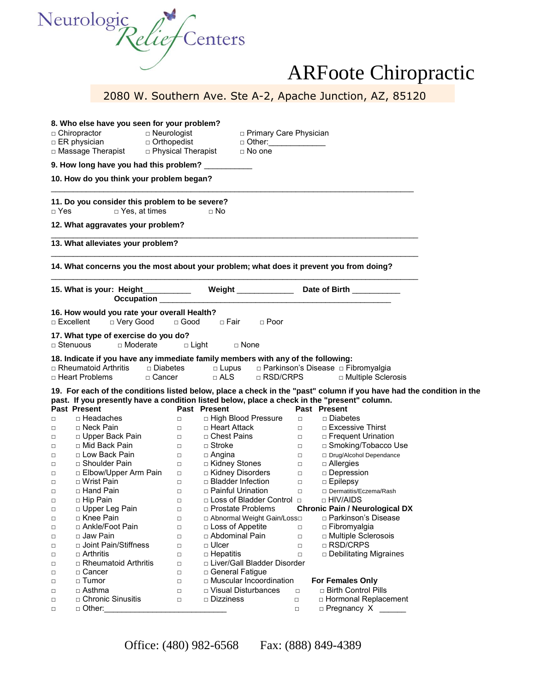

|                     |                                                                                                                               |             |                               |                          | 2080 W. Southern Ave. Ste A-2, Apache Junction, AZ, 85120                                                            |  |
|---------------------|-------------------------------------------------------------------------------------------------------------------------------|-------------|-------------------------------|--------------------------|----------------------------------------------------------------------------------------------------------------------|--|
|                     |                                                                                                                               |             |                               |                          |                                                                                                                      |  |
|                     |                                                                                                                               |             |                               |                          |                                                                                                                      |  |
| $\Box$ Chiropractor | 8. Who else have you seen for your problem?<br>$\Box$ Neurologist                                                             |             |                               | □ Primary Care Physician |                                                                                                                      |  |
|                     | $\Box$ ER physician<br>□ Orthopedist                                                                                          |             |                               | □ Other:______________   |                                                                                                                      |  |
|                     | □ Massage Therapist  □ Physical Therapist                                                                                     |             | $\Box$ No one                 |                          |                                                                                                                      |  |
|                     | 9. How long have you had this problem? _________                                                                              |             |                               |                          |                                                                                                                      |  |
|                     | 10. How do you think your problem began?                                                                                      |             |                               |                          |                                                                                                                      |  |
|                     | 11. Do you consider this problem to be severe?                                                                                |             |                               |                          |                                                                                                                      |  |
| $\sqcap$ Yes        | □ Yes, at times                                                                                                               |             | $\Box$ No                     |                          |                                                                                                                      |  |
|                     | 12. What aggravates your problem?                                                                                             |             |                               |                          |                                                                                                                      |  |
|                     | 13. What alleviates your problem?                                                                                             |             |                               |                          |                                                                                                                      |  |
|                     |                                                                                                                               |             |                               |                          |                                                                                                                      |  |
|                     | 14. What concerns you the most about your problem; what does it prevent you from doing?                                       |             |                               |                          |                                                                                                                      |  |
|                     | 15. What is your: Height____________ Weight ______________ Date of Birth ________                                             |             |                               |                          |                                                                                                                      |  |
|                     | 16. How would you rate your overall Health?                                                                                   |             |                               |                          |                                                                                                                      |  |
| $\Box$ Excellent    | □ Very Good                                                                                                                   | $\Box$ Good | □ Fair                        | $\Box$ Poor              |                                                                                                                      |  |
| $\sqcap$ Stenuous   | 17. What type of exercise do you do?<br>$\sqcap$ Moderate                                                                     | □ Light     | □ None                        |                          |                                                                                                                      |  |
|                     |                                                                                                                               |             |                               |                          |                                                                                                                      |  |
|                     | 18. Indicate if you have any immediate family members with any of the following:<br>$\Box$ Rheumatoid Arthritis<br>□ Diabetes |             | $\square$ Lupus               |                          | □ Parkinson's Disease □ Fibromyalgia                                                                                 |  |
|                     | □ Heart Problems<br>□ Cancer                                                                                                  |             | $\Box$ ALS                    | □ RSD/CRPS               | □ Multiple Sclerosis                                                                                                 |  |
|                     |                                                                                                                               |             |                               |                          | 19. For each of the conditions listed below, place a check in the "past" column if you have had the condition in the |  |
|                     | past. If you presently have a condition listed below, place a check in the "present" column.                                  |             |                               |                          |                                                                                                                      |  |
| <b>Past Present</b> |                                                                                                                               |             | <b>Past Present</b>           |                          | <b>Past Present</b>                                                                                                  |  |
| □                   | □ Headaches                                                                                                                   | $\Box$      | □ High Blood Pressure         | $\Box$                   | □ Diabetes                                                                                                           |  |
| $\Box$              | □ Neck Pain                                                                                                                   | $\Box$      | □ Heart Attack                | $\Box$ . $\Box$          | $\Box$ Excessive Thirst                                                                                              |  |
| $\Box$              | □ Upper Back Pain                                                                                                             | $\Box$      | □ Chest Pains □               |                          | □ Frequent Urination                                                                                                 |  |
| $\Box$              | □ Mid Back Pain                                                                                                               | $\Box$ .    | □ Stroke                      |                          | □ Smoking/Tobacco Use                                                                                                |  |
| $\Box$              | □ Low Back Pain                                                                                                               | $\Box$      | □ Angina                      |                          | □ Drug/Alcohol Dependance                                                                                            |  |
| $\Box$              | □ Shoulder Pain                                                                                                               | $\Box$      | □ Kidney Stones               | $\Box$                   | $\Box$ Allergies                                                                                                     |  |
| $\Box$              | □ Elbow/Upper Arm Pain                                                                                                        | $\Box$      | □ Kidney Disorders            | $\Box$                   | □ Depression                                                                                                         |  |
| □                   | □ Wrist Pain                                                                                                                  | $\Box$      | □ Bladder Infection           | $\Box$                   | □ Epilepsy                                                                                                           |  |
| $\Box$              | □ Hand Pain                                                                                                                   | $\Box$      | □ Painful Urination           | $\Box$                   | □ Dermatitis/Eczema/Rash                                                                                             |  |
| $\Box$              | □ Hip Pain                                                                                                                    | $\Box$      | □ Loss of Bladder Control □   |                          | □ HIV/AIDS                                                                                                           |  |
| $\Box$              | □ Upper Leg Pain                                                                                                              | $\Box$      | □ Prostate Problems           |                          | <b>Chronic Pain / Neurological DX</b>                                                                                |  |
| □                   | □ Knee Pain                                                                                                                   | $\Box$      | □ Abnormal Weight Gain/Loss□  |                          | □ Parkinson's Disease                                                                                                |  |
| $\Box$              | □ Ankle/Foot Pain                                                                                                             | $\Box$      | □ Loss of Appetite            | $\Box$                   | □ Fibromyalgia                                                                                                       |  |
| □                   | □ Jaw Pain                                                                                                                    | $\Box$      | □ Abdominal Pain              | $\Box$                   | □ Multiple Sclerosois                                                                                                |  |
| □                   | □ Joint Pain/Stiffness                                                                                                        | $\Box$      | □ Ulcer                       | $\Box$                   | □ RSD/CRPS                                                                                                           |  |
|                     | $\Box$ Arthritis                                                                                                              |             |                               |                          |                                                                                                                      |  |
| □                   |                                                                                                                               | $\Box$      | $\square$ Hepatitis           | $\Box$                   | □ Debilitating Migraines                                                                                             |  |
| □                   | □ Rheumatoid Arthritis                                                                                                        | $\Box$      | □ Liver/Gall Bladder Disorder |                          |                                                                                                                      |  |
| $\Box$              | □ Cancer                                                                                                                      | $\Box$      | □ General Fatigue             |                          |                                                                                                                      |  |
| □                   | □ Tumor                                                                                                                       | $\Box$      | □ Muscular Incoordination     |                          | <b>For Females Only</b>                                                                                              |  |
| □                   | □ Asthma                                                                                                                      | $\Box$      | □ Visual Disturbances         | $\Box$                   | □ Birth Control Pills                                                                                                |  |
| $\Box$              | □ Chronic Sinusitis                                                                                                           | $\Box$      | □ Dizziness                   | $\Box$                   | □ Hormonal Replacement                                                                                               |  |
| $\Box$              | □ Other:                                                                                                                      |             |                               | $\Box$                   | $\Box$ Pregnancy X                                                                                                   |  |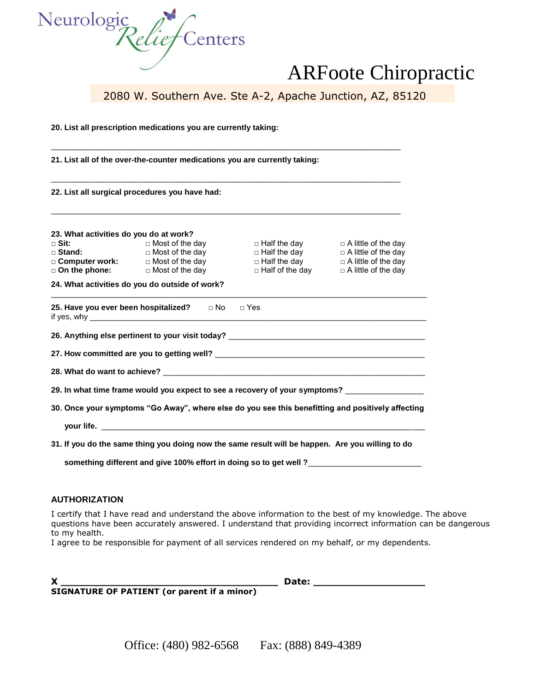

2080 W. Southern Ave. Ste A-2, Apache Junction, AZ, 85120

**20. List all prescription medications you are currently taking:**

**21. List all of the over-the-counter medications you are currently taking:**

**22. List all surgical procedures you have had:**

| 23. What activities do you do at work?           |                                                  |                                          |                                                          |
|--------------------------------------------------|--------------------------------------------------|------------------------------------------|----------------------------------------------------------|
| □ Sit:                                           | $\Box$ Most of the day                           | $\Box$ Half the day                      | $\Box$ A little of the day                               |
| $\square$ Stand:                                 | $\Box$ Most of the day                           | $\Box$ Half the day                      | $\Box$ A little of the day                               |
| $\square$ Computer work:<br>$\Box$ On the phone: | $\Box$ Most of the day<br>$\Box$ Most of the day | □ Half the day<br>$\Box$ Half of the day | $\Box$ A little of the day<br>$\Box$ A little of the day |

 $\_$  ,  $\_$  ,  $\_$  ,  $\_$  ,  $\_$  ,  $\_$  ,  $\_$  ,  $\_$  ,  $\_$  ,  $\_$  ,  $\_$  ,  $\_$  ,  $\_$  ,  $\_$  ,  $\_$  ,  $\_$  ,  $\_$  ,  $\_$  ,  $\_$  ,  $\_$  ,  $\_$  ,  $\_$  ,  $\_$  ,  $\_$  ,  $\_$  ,  $\_$  ,  $\_$  ,  $\_$  ,  $\_$  ,  $\_$  ,  $\_$  ,  $\_$  ,  $\_$  ,  $\_$  ,  $\_$  ,  $\_$  ,  $\_$  ,

\_\_\_\_\_\_\_\_\_\_\_\_\_\_\_\_\_\_\_\_\_\_\_\_\_\_\_\_\_\_\_\_\_\_\_\_\_\_\_\_\_\_\_\_\_\_\_\_\_\_\_\_\_\_\_\_\_\_\_\_\_\_\_\_\_\_\_\_\_\_\_\_\_\_\_\_\_\_\_\_

\_\_\_\_\_\_\_\_\_\_\_\_\_\_\_\_\_\_\_\_\_\_\_\_\_\_\_\_\_\_\_\_\_\_\_\_\_\_\_\_\_\_\_\_\_\_\_\_\_\_\_\_\_\_\_\_\_\_\_\_\_\_\_\_\_\_\_\_\_\_\_\_\_\_\_\_\_\_\_\_

\_\_\_\_\_\_\_\_\_\_\_\_\_\_\_\_\_\_\_\_\_\_\_\_\_\_\_\_\_\_\_\_\_\_\_\_\_\_\_\_\_\_\_\_\_\_\_\_\_\_\_\_\_\_\_\_\_\_\_\_\_\_\_\_\_\_\_\_\_\_\_\_\_\_\_\_\_\_\_\_

**24. What activities do you do outside of work?**

**25. Have you ever been hospitalized?** □ No □ Yes if yes, why \_\_\_\_\_\_\_\_\_\_\_\_\_\_\_\_\_\_\_\_\_\_\_\_\_\_\_\_\_\_\_\_\_\_\_\_\_\_\_\_\_\_\_\_\_\_\_\_\_\_\_\_\_\_\_\_\_\_\_\_\_\_\_\_\_\_\_\_\_\_\_\_\_\_\_\_\_

**26. Anything else pertinent to your visit today?** \_\_\_\_\_\_\_\_\_\_\_\_\_\_\_\_\_\_\_\_\_\_\_\_\_\_\_\_\_\_\_\_\_\_\_\_\_\_\_\_\_\_\_\_\_

**27. How committed are you to getting well?** \_\_\_\_\_\_\_\_\_\_\_\_\_\_\_\_\_\_\_\_\_\_\_\_\_\_\_\_\_\_\_\_\_\_\_\_\_\_\_\_\_\_\_\_\_\_\_\_

**28. What do want to achieve?** \_\_\_\_\_\_\_\_\_\_\_\_\_\_\_\_\_\_\_\_\_\_\_\_\_\_\_\_\_\_\_\_\_\_\_\_\_\_\_\_\_\_\_\_\_\_\_\_\_\_\_\_\_\_\_\_\_\_\_\_

**29. In what time frame would you expect to see a recovery of your symptoms?** \_\_\_\_\_\_\_\_\_\_\_\_\_\_\_\_\_\_

**30. Once your symptoms "Go Away", where else do you see this benefitting and positively affecting**

 **your life.** \_\_\_\_\_\_\_\_\_\_\_\_\_\_\_\_\_\_\_\_\_\_\_\_\_\_\_\_\_\_\_\_\_\_\_\_\_\_\_\_\_\_\_\_\_\_\_\_\_\_\_\_\_\_\_\_\_\_\_\_\_\_\_\_\_\_\_\_\_\_\_\_\_\_

**31. If you do the same thing you doing now the same result will be happen. Are you willing to do**

something different and give 100% effort in doing so to get well ?\_\_\_\_\_\_\_\_\_\_\_\_\_\_

#### **AUTHORIZATION**

I certify that I have read and understand the above information to the best of my knowledge. The above questions have been accurately answered. I understand that providing incorrect information can be dangerous to my health.

I agree to be responsible for payment of all services rendered on my behalf, or my dependents.

**X \_\_\_\_\_\_\_\_\_\_\_\_\_\_\_\_\_\_\_\_\_\_\_\_\_\_\_\_\_\_\_\_\_\_\_ Date: \_\_\_\_\_\_\_\_\_\_\_\_\_\_\_\_\_\_** 

**SIGNATURE OF PATIENT (or parent if a minor)**

Office: (480) 982-6568 Fax: (888) 849-4389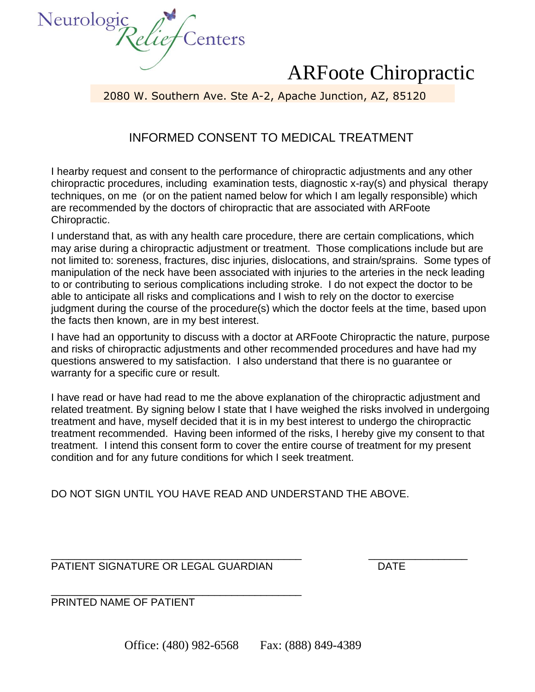

2080 W. Southern Ave. Ste A-2, Apache Junction, AZ, 85120

### INFORMED CONSENT TO MEDICAL TREATMENT

I hearby request and consent to the performance of chiropractic adjustments and any other chiropractic procedures, including examination tests, diagnostic x-ray(s) and physical therapy techniques, on me (or on the patient named below for which I am legally responsible) which are recommended by the doctors of chiropractic that are associated with ARFoote Chiropractic.

I understand that, as with any health care procedure, there are certain complications, which may arise during a chiropractic adjustment or treatment. Those complications include but are not limited to: soreness, fractures, disc injuries, dislocations, and strain/sprains. Some types of manipulation of the neck have been associated with injuries to the arteries in the neck leading to or contributing to serious complications including stroke. I do not expect the doctor to be able to anticipate all risks and complications and I wish to rely on the doctor to exercise judgment during the course of the procedure(s) which the doctor feels at the time, based upon the facts then known, are in my best interest.

I have had an opportunity to discuss with a doctor at ARFoote Chiropractic the nature, purpose and risks of chiropractic adjustments and other recommended procedures and have had my questions answered to my satisfaction. I also understand that there is no guarantee or warranty for a specific cure or result.

I have read or have had read to me the above explanation of the chiropractic adjustment and related treatment. By signing below I state that I have weighed the risks involved in undergoing treatment and have, myself decided that it is in my best interest to undergo the chiropractic treatment recommended. Having been informed of the risks, I hereby give my consent to that treatment. I intend this consent form to cover the entire course of treatment for my present condition and for any future conditions for which I seek treatment.

DO NOT SIGN UNTIL YOU HAVE READ AND UNDERSTAND THE ABOVE.

\_\_\_\_\_\_\_\_\_\_\_\_\_\_\_\_\_\_\_\_\_\_\_\_\_\_\_\_\_\_\_\_\_\_\_\_\_\_\_\_\_\_\_ \_\_\_\_\_\_\_\_\_\_\_\_\_\_\_\_\_ PATIENT SIGNATURE OR LEGAL GUARDIAN DATE

\_\_\_\_\_\_\_\_\_\_\_\_\_\_\_\_\_\_\_\_\_\_\_\_\_\_\_\_\_\_\_\_\_\_\_\_\_\_\_\_\_\_\_ PRINTED NAME OF PATIENT

Office: (480) 982-6568 Fax: (888) 849-4389